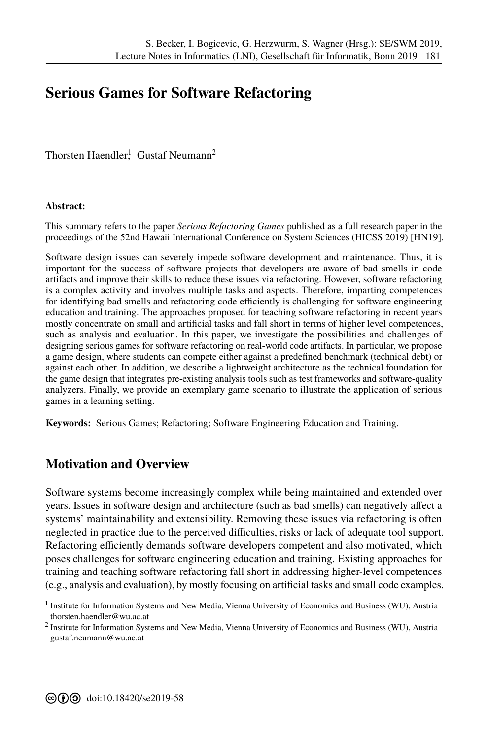## **Serious Games for Software Refactoring**

Thorsten Haendler<sup>1</sup>, Gustaf Neumann<sup>2</sup>

## **Abstract:**

This summary refers to the paper *Serious Refactoring Games* published as a full research paper in the proceedings of the 52nd Hawaii International Conference on System Sciences (HICSS 2019) [HN19].

Software design issues can severely impede software development and maintenance. Thus, it is important for the success of software projects that developers are aware of bad smells in code artifacts and improve their skills to reduce these issues via refactoring. However, software refactoring is a complex activity and involves multiple tasks and aspects. Therefore, imparting competences for identifying bad smells and refactoring code efficiently is challenging for software engineering education and training. The approaches proposed for teaching software refactoring in recent years mostly concentrate on small and artificial tasks and fall short in terms of higher level comp[etences](#page-1-0), such as analysis and evaluation. In this paper, we investigate the possibilities and challenges of designing serious games for software refactoring on real-world code artifacts. In particular, we propose a game design, where students can compete either against a predefined benchmark (technical debt) or against each other. In addition, we describe a lightweight architecture as the technical foundation for the game design that integrates pre-existing analysis tools such as test frameworks and software-quality analyzers. Finally, we provide an exemplary game scenario to illustrate the application of serious games in a learning setting.

**Keywords:** Serious Games; Refactoring; Software Engineering Education and Training.

## **Motivation and Overview**

Software systems become increasingly complex while being maintained and extended over years. Issues in software design and architecture (such as bad smells) can negatively affect a systems' maintainability and extensibility. Removing these issues via refactoring is often neglected in practice due to the perceived difficulties, risks or lack of adequate tool support. Refactoring efficiently demands software developers competent and also motivated, which poses challenges for software engineering education and training. Existing approaches for training and teaching software refactoring fall short in addressing higher-level competences (e.g., analysis and evaluation), by mostly focusing on artificial tasks and small code examples.

<sup>&</sup>lt;sup>1</sup> Institute for Information Systems and New Media, Vienna University of Economics and Business (WU), Austria thorsten.haendler@wu.ac.at

<sup>&</sup>lt;sup>2</sup> [Institute for Information Syst](thorsten.haendler@wu.ac.at)ems and New Media, Vienna University of Economics and Business (WU), Austria <gustaf.neumann@wu.ac.at>